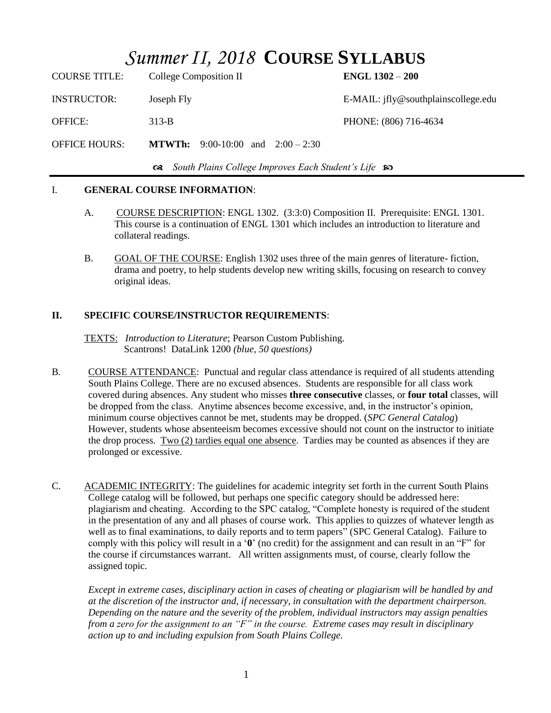# *Summer II, 2018* **COURSE SYLLABUS**

| <b>COURSE TITLE:</b>                                     | College Composition II                   | ENGL $1302 - 200$                   |  |
|----------------------------------------------------------|------------------------------------------|-------------------------------------|--|
| <b>INSTRUCTOR:</b>                                       | Joseph Fly                               | E-MAIL: ifly@southplainscollege.edu |  |
| <b>OFFICE:</b>                                           | $313-B$                                  | PHONE: (806) 716-4634               |  |
| <b>OFFICE HOURS:</b>                                     | <b>MTWTh:</b> 9:00-10:00 and 2:00 – 2:30 |                                     |  |
| Get South Plains College Improves Each Student's Life so |                                          |                                     |  |

### I. **GENERAL COURSE INFORMATION**:

- A. COURSE DESCRIPTION: ENGL 1302. (3:3:0) Composition II. Prerequisite: ENGL 1301. This course is a continuation of ENGL 1301 which includes an introduction to literature and collateral readings.
- B. GOAL OF THE COURSE: English 1302 uses three of the main genres of literature- fiction, drama and poetry, to help students develop new writing skills, focusing on research to convey original ideas.

## **II. SPECIFIC COURSE/INSTRUCTOR REQUIREMENTS**:

TEXTS: *Introduction to Literature*; Pearson Custom Publishing. Scantrons! DataLink 1200 *(blue, 50 questions)*

- B. COURSE ATTENDANCE: Punctual and regular class attendance is required of all students attending South Plains College. There are no excused absences. Students are responsible for all class work covered during absences. Any student who misses **three consecutive** classes, or **four total** classes, will be dropped from the class. Anytime absences become excessive, and, in the instructor's opinion, minimum course objectives cannot be met, students may be dropped. (*SPC General Catalog*) However, students whose absenteeism becomes excessive should not count on the instructor to initiate the drop process. Two (2) tardies equal one absence. Tardies may be counted as absences if they are prolonged or excessive.
- C. ACADEMIC INTEGRITY: The guidelines for academic integrity set forth in the current South Plains College catalog will be followed, but perhaps one specific category should be addressed here: plagiarism and cheating. According to the SPC catalog, "Complete honesty is required of the student in the presentation of any and all phases of course work. This applies to quizzes of whatever length as well as to final examinations, to daily reports and to term papers" (SPC General Catalog). Failure to comply with this policy will result in a '**0**' (no credit) for the assignment and can result in an "F" for the course if circumstances warrant. All written assignments must, of course, clearly follow the assigned topic.

*Except in extreme cases, disciplinary action in cases of cheating or plagiarism will be handled by and at the discretion of the instructor and, if necessary, in consultation with the department chairperson. Depending on the nature and the severity of the problem, individual instructors may assign penalties from a zero for the assignment to an "F" in the course. Extreme cases may result in disciplinary action up to and including expulsion from South Plains College.*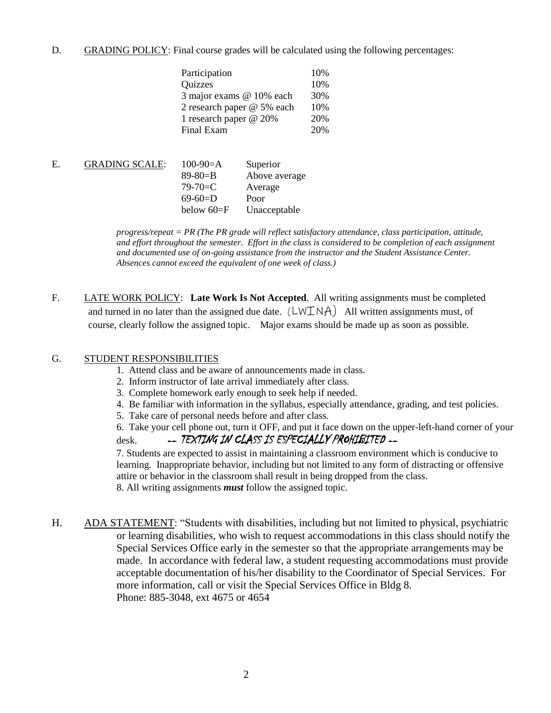D. GRADING POLICY: Final course grades will be calculated using the following percentages:

| Participation              | 10% |
|----------------------------|-----|
| Quizzes                    | 10% |
| 3 major exams @ 10% each   | 30% |
| 2 research paper @ 5% each | 10% |
| 1 research paper @ 20%     | 20% |
| Final Exam                 | 20% |

| Above average |
|---------------|
|               |
|               |
| Unacceptable  |
|               |

*progress/repeat = PR (The PR grade will reflect satisfactory attendance, class participation, attitude, and effort throughout the semester. Effort in the class is considered to be completion of each assignment and documented use of on-going assistance from the instructor and the Student Assistance Center. Absences cannot exceed the equivalent of one week of class.)*

F. LATE WORK POLICY: **Late Work Is Not Accepted**. All writing assignments must be completed and turned in no later than the assigned due date.  $(LWINA)$  All written assignments must, of course, clearly follow the assigned topic. Major exams should be made up as soon as possible.

### G. STUDENT RESPONSIBILITIES

- 1. Attend class and be aware of announcements made in class.
- 2. Inform instructor of late arrival immediately after class.
- 3. Complete homework early enough to seek help if needed.
- 4. Be familiar with information in the syllabus, especially attendance, grading, and test policies.
- 5. Take care of personal needs before and after class.
- 6. Take your cell phone out, turn it OFF, and put it face down on the upper-left-hand corner of your desk. -- TEXTING IN CLASS IS ESPECIALLY PROHIBITED --

7. Students are expected to assist in maintaining a classroom environment which is conducive to learning. Inappropriate behavior, including but not limited to any form of distracting or offensive attire or behavior in the classroom shall result in being dropped from the class. 8. All writing assignments *must* follow the assigned topic.

H. ADA STATEMENT: "Students with disabilities, including but not limited to physical, psychiatric or learning disabilities, who wish to request accommodations in this class should notify the Special Services Office early in the semester so that the appropriate arrangements may be made. In accordance with federal law, a student requesting accommodations must provide acceptable documentation of his/her disability to the Coordinator of Special Services. For more information, call or visit the Special Services Office in Bldg 8. Phone: 885-3048, ext 4675 or 4654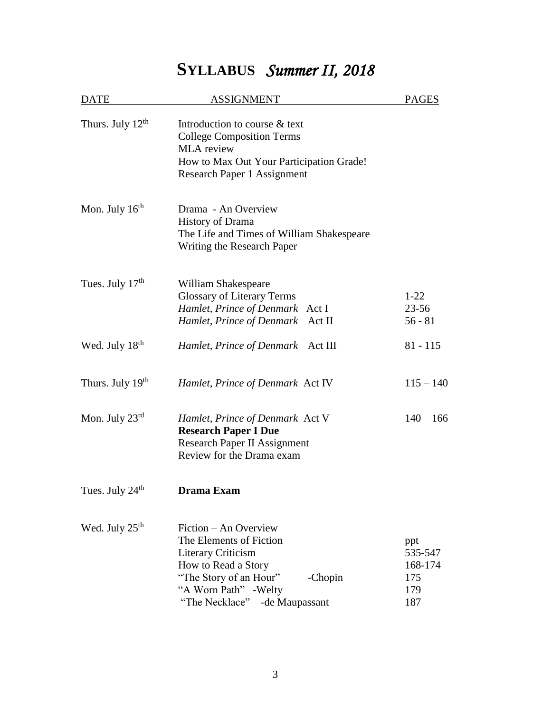# **SYLLABUS** *Summer II, 2018*

| DATE                         | <b>ASSIGNMENT</b>                                                                                                                                                                                    | <b>PAGES</b>                                   |
|------------------------------|------------------------------------------------------------------------------------------------------------------------------------------------------------------------------------------------------|------------------------------------------------|
| Thurs. July 12 <sup>th</sup> | Introduction to course & text<br><b>College Composition Terms</b><br>MLA review<br>How to Max Out Your Participation Grade!<br>Research Paper 1 Assignment                                           |                                                |
| Mon. July $16th$             | Drama - An Overview<br><b>History of Drama</b><br>The Life and Times of William Shakespeare<br>Writing the Research Paper                                                                            |                                                |
| Tues. July $17th$            | William Shakespeare<br><b>Glossary of Literary Terms</b><br>Hamlet, Prince of Denmark Act I<br>Hamlet, Prince of Denmark Act II                                                                      | $1 - 22$<br>$23 - 56$<br>$56 - 81$             |
| Wed. July 18 <sup>th</sup>   | Hamlet, Prince of Denmark<br>Act III                                                                                                                                                                 | $81 - 115$                                     |
| Thurs. July 19 <sup>th</sup> | Hamlet, Prince of Denmark Act IV                                                                                                                                                                     | $115 - 140$                                    |
| Mon. July $23^{rd}$          | Hamlet, Prince of Denmark Act V<br><b>Research Paper I Due</b><br><b>Research Paper II Assignment</b><br>Review for the Drama exam                                                                   | $140 - 166$                                    |
| Tues. July 24 <sup>th</sup>  | Drama Exam                                                                                                                                                                                           |                                                |
| Wed. July 25 <sup>th</sup>   | Fiction – An Overview<br>The Elements of Fiction<br><b>Literary Criticism</b><br>How to Read a Story<br>"The Story of an Hour"<br>-Chopin<br>"A Worn Path" - Welty<br>"The Necklace" - de Maupassant | ppt<br>535-547<br>168-174<br>175<br>179<br>187 |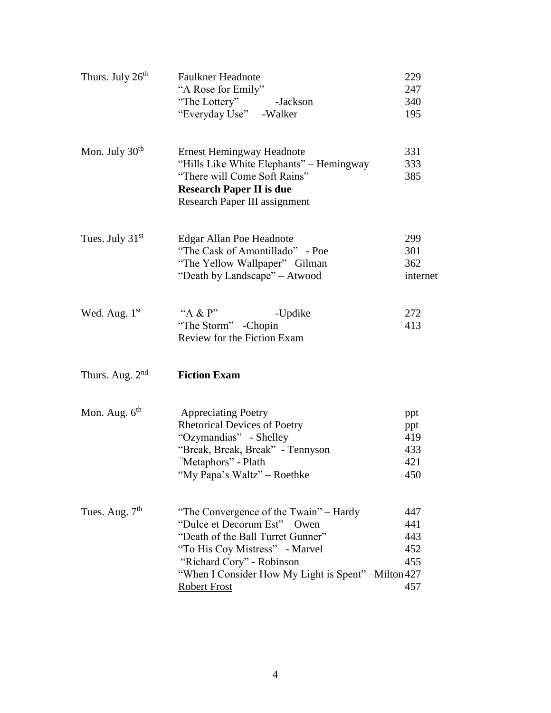| Thurs. July 26 <sup>th</sup> | <b>Faulkner Headnote</b>                             | 229      |
|------------------------------|------------------------------------------------------|----------|
|                              | "A Rose for Emily"                                   | 247      |
|                              | "The Lottery" -Jackson                               | 340      |
|                              | "Everyday Use" - Walker                              | 195      |
| Mon. July $30th$             | <b>Ernest Hemingway Headnote</b>                     | 331      |
|                              | "Hills Like White Elephants" – Hemingway             | 333      |
|                              | "There will Come Soft Rains"                         | 385      |
|                              | <b>Research Paper II is due</b>                      |          |
|                              | Research Paper III assignment                        |          |
| Tues. July $31st$            | Edgar Allan Poe Headnote                             | 299      |
|                              | "The Cask of Amontillado" - Poe                      | 301      |
|                              | "The Yellow Wallpaper" - Gilman                      | 362      |
|                              | "Death by Landscape" - Atwood                        | internet |
|                              |                                                      |          |
| Wed. Aug. 1st                | "A & $P$ "<br>-Updike                                | 272      |
|                              | "The Storm" -Chopin                                  | 413      |
|                              | Review for the Fiction Exam                          |          |
| Thurs. Aug. $2nd$            | <b>Fiction Exam</b>                                  |          |
| Mon. Aug. $6th$              | <b>Appreciating Poetry</b>                           | ppt      |
|                              | <b>Rhetorical Devices of Poetry</b>                  | ppt      |
|                              | "Ozymandias" - Shelley                               | 419      |
|                              | "Break, Break, Break" - Tennyson                     | 433      |
|                              | "Metaphors" - Plath                                  | 421      |
|                              | "My Papa's Waltz" – Roethke                          | 450      |
| Tues. Aug. $7th$             | "The Convergence of the Twain" – Hardy               | 447      |
|                              | "Dulce et Decorum Est" – Owen                        | 441      |
|                              | "Death of the Ball Turret Gunner"                    | 443      |
|                              | "To His Coy Mistress" - Marvel                       | 452      |
|                              | "Richard Cory" - Robinson                            | 455      |
|                              | "When I Consider How My Light is Spent" – Milton 427 |          |
|                              | <b>Robert Frost</b>                                  | 457      |